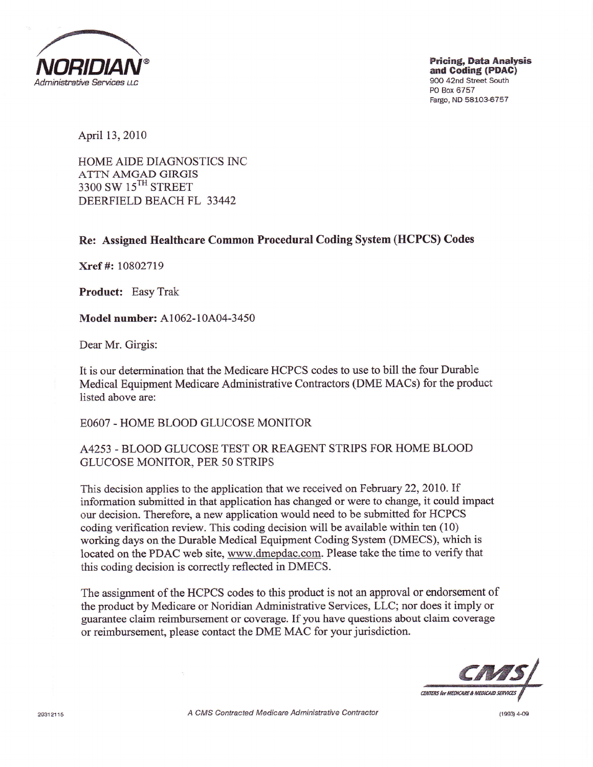

April 13,2010

HOME AIDE DIAGNOSTICS INC ATTN AMGAD GIRGIS 3300 SW 15<sup>TH</sup> STREET DEERFIELD BEACH FL 33442

Re: Assigned Healthcare Common Procedural Coding System (HCPCS) Codes

Xref #: 10802719

Product: Easy Trak

Model number: A1062-10A04-3450

Dear Mr. Girgis:

It is our determination that the Medicare HCPCS codes to use to bill the four Durable Medical Equipment Medicare Administrative Contractors (DME MACs) for the product listed above are:

EO6O7 - HOME BLOOD GLUCOSE MONITOR

## A4253 - BLOOD GLUCOSE TEST OR REAGENT STRIPS FOR HOME BLOOD GLUCOSE MONITOR, PER 50 STRIPS

This decision applies to the application that we received on February 22, 2010. If information submitted in that application has changed or were to change, it could impact our decision. Therefore, a new application would need to be submitted for HCPCS coding verification review. This coding decision will be available within ten (10) working days on the Durable Medical Equipment Coding System (DMECS), which is located on the PDAC web site, www.dmepdac.com. Please take the time to verify that this coding decision is correctly reflected in DMECS.

The assignment of the HCPCS codes to this product is not an approval or endorsement of the product by Medicare or Noridian Administrative Services, LLC; nor does it imply or guarantee claim reimbursement or mverage, If you have questions about claim coverage or reimbursement, please contact the DME MAC for your jurisdiction.



29312115 **A CMS Contracted Medicare Administrative Contractor 1993** 4-09 (1993) 4-09